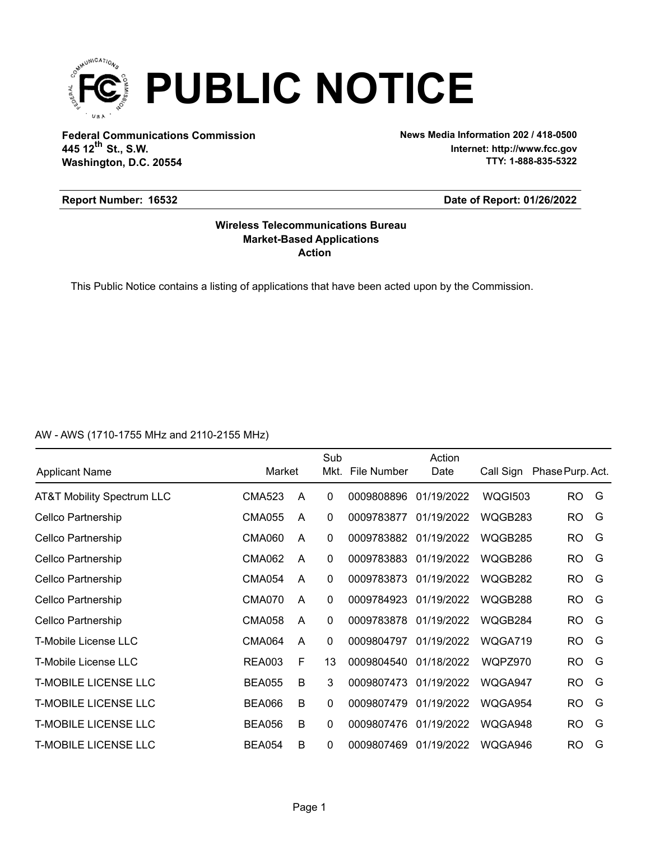

**Federal Communications Commission News Media Information 202 / 418-0500 Washington, D.C. 20554 th 445 12 St., S.W.**

**Internet: http://www.fcc.gov TTY: 1-888-835-5322**

# **Report Number: 16532**

## **Date of Report: 01/26/2022**

# **Action Market-Based Applications Wireless Telecommunications Bureau**

This Public Notice contains a listing of applications that have been acted upon by the Commission.

AW - AWS (1710-1755 MHz and 2110-2155 MHz)

| <b>Applicant Name</b>       | Market        |   | Sub<br>Mkt.  | File Number | Action<br>Date | Call Sign      | Phase Purp. Act. |   |
|-----------------------------|---------------|---|--------------|-------------|----------------|----------------|------------------|---|
| AT&T Mobility Spectrum LLC  | CMA523        | A | 0            | 0009808896  | 01/19/2022     | <b>WQGI503</b> | RO.              | G |
| Cellco Partnership          | <b>CMA055</b> | A | 0            | 0009783877  | 01/19/2022     | WQGB283        | <b>RO</b>        | G |
| Cellco Partnership          | <b>CMA060</b> | A | $\mathbf 0$  | 0009783882  | 01/19/2022     | WQGB285        | <b>RO</b>        | G |
| Cellco Partnership          | <b>CMA062</b> | A | $\mathbf 0$  | 0009783883  | 01/19/2022     | WQGB286        | <b>RO</b>        | G |
| Cellco Partnership          | <b>CMA054</b> | A | $\mathbf 0$  | 0009783873  | 01/19/2022     | WQGB282        | <b>RO</b>        | G |
| Cellco Partnership          | <b>CMA070</b> | A | $\mathbf 0$  | 0009784923  | 01/19/2022     | WQGB288        | RO               | G |
| Cellco Partnership          | <b>CMA058</b> | A | 0            | 0009783878  | 01/19/2022     | WQGB284        | <b>RO</b>        | G |
| <b>T-Mobile License LLC</b> | <b>CMA064</b> | A | $\mathbf{0}$ | 0009804797  | 01/19/2022     | WQGA719        | RO               | G |
| T-Mobile License LLC        | <b>REA003</b> | F | 13           | 0009804540  | 01/18/2022     | WQPZ970        | <b>RO</b>        | G |
| <b>T-MOBILE LICENSE LLC</b> | <b>BEA055</b> | B | 3            | 0009807473  | 01/19/2022     | WQGA947        | <b>RO</b>        | G |
| <b>T-MOBILE LICENSE LLC</b> | <b>BEA066</b> | B | $\Omega$     | 0009807479  | 01/19/2022     | WQGA954        | <b>RO</b>        | G |
| <b>T-MOBILE LICENSE LLC</b> | <b>BEA056</b> | B | $\mathbf 0$  | 0009807476  | 01/19/2022     | WQGA948        | <b>RO</b>        | G |
| <b>T-MOBILE LICENSE LLC</b> | <b>BEA054</b> | B | 0            | 0009807469  | 01/19/2022     | WQGA946        | <b>RO</b>        | G |